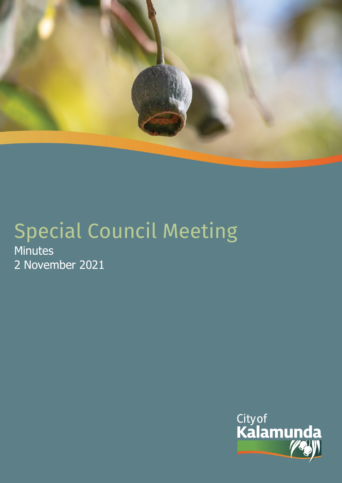

# Special Council Meeting Minutes 2 November 2021

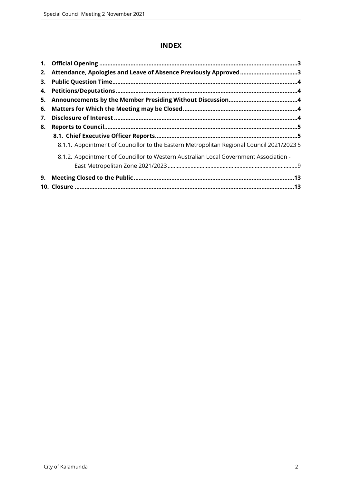# **INDEX**

| 2. | Attendance, Apologies and Leave of Absence Previously Approved3                           |  |
|----|-------------------------------------------------------------------------------------------|--|
| 3. |                                                                                           |  |
| 4. |                                                                                           |  |
|    |                                                                                           |  |
| 6. |                                                                                           |  |
| 7. |                                                                                           |  |
| 8. |                                                                                           |  |
|    |                                                                                           |  |
|    | 8.1.1. Appointment of Councillor to the Eastern Metropolitan Regional Council 2021/2023 5 |  |
|    | 8.1.2. Appointment of Councillor to Western Australian Local Government Association -     |  |
|    |                                                                                           |  |
|    |                                                                                           |  |
|    |                                                                                           |  |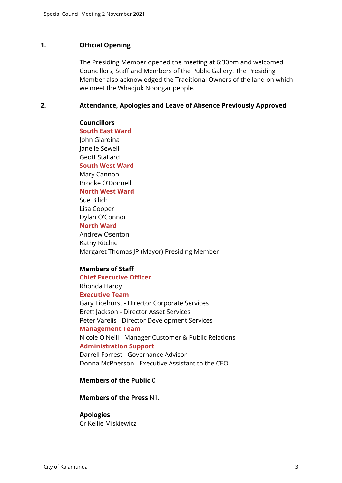#### <span id="page-2-0"></span>**1. Official Opening**

The Presiding Member opened the meeting at 6:30pm and welcomed Councillors, Staff and Members of the Public Gallery. The Presiding Member also acknowledged the Traditional Owners of the land on which we meet the Whadjuk Noongar people.

#### <span id="page-2-1"></span>**2. Attendance, Apologies and Leave of Absence Previously Approved**

#### **Councillors**

**South East Ward** 

John Giardina Janelle Sewell Geoff Stallard **South West Ward**

Mary Cannon Brooke O'Donnell **North West Ward**

Sue Bilich Lisa Cooper Dylan O'Connor

#### **North Ward**

Andrew Osenton Kathy Ritchie Margaret Thomas JP (Mayor) Presiding Member

# **Members of Staff**

**Chief Executive Officer** Rhonda Hardy **Executive Team** Gary Ticehurst - Director Corporate Services Brett Jackson - Director Asset Services Peter Varelis - Director Development Services **Management Team** Nicole O'Neill - Manager Customer & Public Relations **Administration Support** Darrell Forrest - Governance Advisor Donna McPherson - Executive Assistant to the CEO

#### **Members of the Public** 0

**Members of the Press** Nil.

#### **Apologies**

Cr Kellie Miskiewicz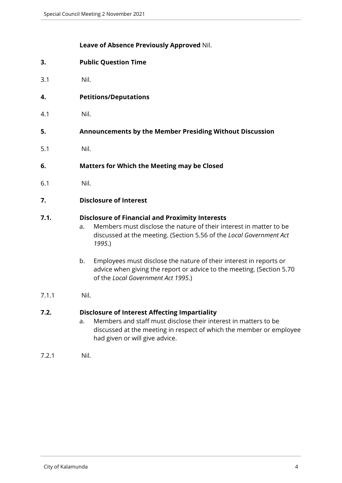#### **Leave of Absence Previously Approved** Nil.

- <span id="page-3-0"></span>**3. Public Question Time**
- 3.1 Nil.
- <span id="page-3-1"></span>**4. Petitions/Deputations**
- 4.1 Nil.
- <span id="page-3-2"></span>**5. Announcements by the Member Presiding Without Discussion**
- 5.1 Nil.
- <span id="page-3-3"></span>**6. Matters for Which the Meeting may be Closed**
- 6.1 Nil.
- <span id="page-3-4"></span>**7. Disclosure of Interest**

#### **7.1. Disclosure of Financial and Proximity Interests**

- a. Members must disclose the nature of their interest in matter to be discussed at the meeting. (Section 5.56 of the *Local Government Act 1995*.)
- b. Employees must disclose the nature of their interest in reports or advice when giving the report or advice to the meeting. (Section 5.70 of the *Local Government Act 1995*.)
- 7.1.1 Nil.

# **7.2. Disclosure of Interest Affecting Impartiality**

- a. Members and staff must disclose their interest in matters to be discussed at the meeting in respect of which the member or employee had given or will give advice.
- 7.2.1 Nil.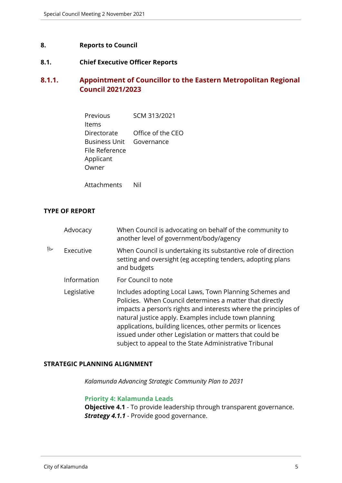#### <span id="page-4-0"></span>**8. Reports to Council**

# <span id="page-4-1"></span>**8.1. Chief Executive Officer Reports**

# <span id="page-4-2"></span>**8.1.1. Appointment of Councillor to the Eastern Metropolitan Regional Council 2021/2023**

| Previous             | SCM 313/2021      |
|----------------------|-------------------|
| ltems                |                   |
| Directorate          | Office of the CEO |
| <b>Business Unit</b> | Governance        |
| File Reference       |                   |
| Applicant            |                   |
| Owner                |                   |
|                      |                   |

Attachments Nil

#### **TYPE OF REPORT**

|   | Advocacy    | When Council is advocating on behalf of the community to<br>another level of government/body/agency                                                                                                                                                                                                                                                                                                                                |
|---|-------------|------------------------------------------------------------------------------------------------------------------------------------------------------------------------------------------------------------------------------------------------------------------------------------------------------------------------------------------------------------------------------------------------------------------------------------|
| B | Executive   | When Council is undertaking its substantive role of direction<br>setting and oversight (eg accepting tenders, adopting plans<br>and budgets                                                                                                                                                                                                                                                                                        |
|   | Information | For Council to note                                                                                                                                                                                                                                                                                                                                                                                                                |
|   | Legislative | Includes adopting Local Laws, Town Planning Schemes and<br>Policies. When Council determines a matter that directly<br>impacts a person's rights and interests where the principles of<br>natural justice apply. Examples include town planning<br>applications, building licences, other permits or licences<br>issued under other Legislation or matters that could be<br>subject to appeal to the State Administrative Tribunal |

#### **STRATEGIC PLANNING ALIGNMENT**

*Kalamunda Advancing Strategic Community Plan to 2031*

#### **Priority 4: Kalamunda Leads**

**Objective 4.1** - To provide leadership through transparent governance. *Strategy 4.1.1* - Provide good governance.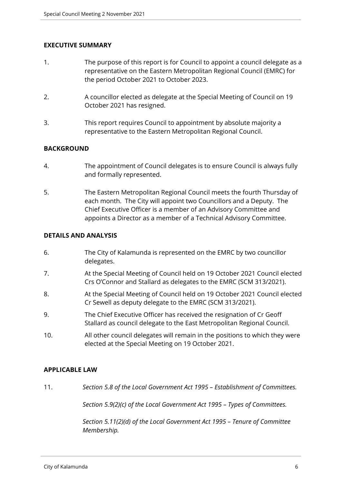# **EXECUTIVE SUMMARY**

- 1. The purpose of this report is for Council to appoint a council delegate as a representative on the Eastern Metropolitan Regional Council (EMRC) for the period October 2021 to October 2023.
- 2. A councillor elected as delegate at the Special Meeting of Council on 19 October 2021 has resigned.
- 3. This report requires Council to appointment by absolute majority a representative to the Eastern Metropolitan Regional Council.

# **BACKGROUND**

- 4. The appointment of Council delegates is to ensure Council is always fully and formally represented.
- 5. The Eastern Metropolitan Regional Council meets the fourth Thursday of each month. The City will appoint two Councillors and a Deputy. The Chief Executive Officer is a member of an Advisory Committee and appoints a Director as a member of a Technical Advisory Committee.

# **DETAILS AND ANALYSIS**

- 6. The City of Kalamunda is represented on the EMRC by two councillor delegates.
- 7. At the Special Meeting of Council held on 19 October 2021 Council elected Crs O'Connor and Stallard as delegates to the EMRC (SCM 313/2021).
- 8. At the Special Meeting of Council held on 19 October 2021 Council elected Cr Sewell as deputy delegate to the EMRC (SCM 313/2021).
- 9. The Chief Executive Officer has received the resignation of Cr Geoff Stallard as council delegate to the East Metropolitan Regional Council.
- 10. All other council delegates will remain in the positions to which they were elected at the Special Meeting on 19 October 2021.

# **APPLICABLE LAW**

11. *Section 5.8 of the Local Government Act 1995 – Establishment of Committees.*

*Section 5.9(2)(c) of the Local Government Act 1995 – Types of Committees.*

*Section 5.11(2)(d) of the Local Government Act 1995 – Tenure of Committee Membership.*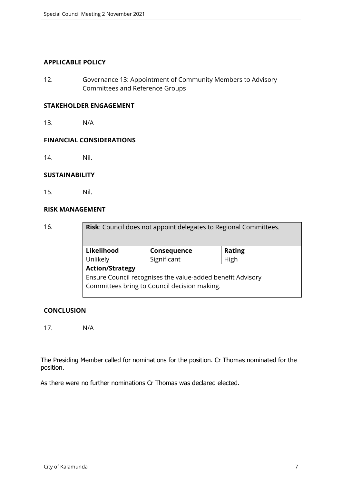#### **APPLICABLE POLICY**

12. Governance 13: Appointment of Community Members to Advisory Committees and Reference Groups

#### **STAKEHOLDER ENGAGEMENT**

13. N/A

#### **FINANCIAL CONSIDERATIONS**

14. Nil.

#### **SUSTAINABILITY**

15. Nil.

#### **RISK MANAGEMENT**

16. **Risk**: Council does not appoint delegates to Regional Committees. **Likelihood Consequence Rating** Unlikely | Significant | High **Action/Strategy** Ensure Council recognises the value-added benefit Advisory Committees bring to Council decision making.

#### **CONCLUSION**

17. N/A

The Presiding Member called for nominations for the position. Cr Thomas nominated for the position.

As there were no further nominations Cr Thomas was declared elected.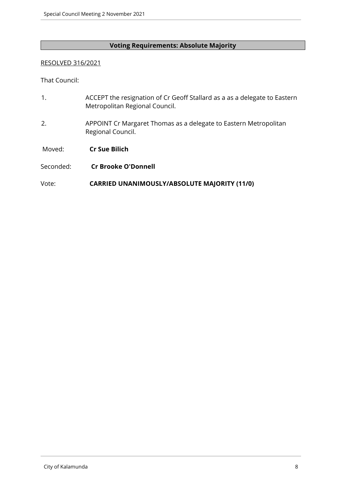# **Voting Requirements: Absolute Majority**

# RESOLVED 316/2021

That Council:

| $\mathbf{1}$ . | ACCEPT the resignation of Cr Geoff Stallard as a as a delegate to Eastern<br>Metropolitan Regional Council. |
|----------------|-------------------------------------------------------------------------------------------------------------|
| 2.             | APPOINT Cr Margaret Thomas as a delegate to Eastern Metropolitan<br>Regional Council.                       |
| Moved:         | <b>Cr Sue Bilich</b>                                                                                        |
| Seconded:      | <b>Cr Brooke O'Donnell</b>                                                                                  |
| Vote:          | <b>CARRIED UNANIMOUSLY/ABSOLUTE MAJORITY (11/0)</b>                                                         |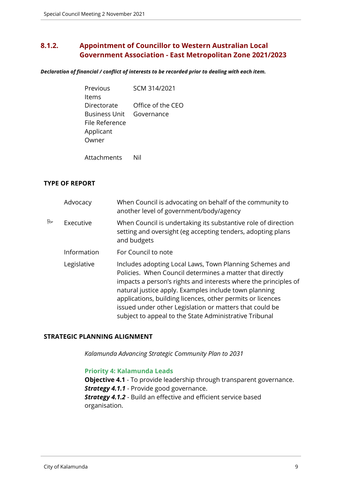# <span id="page-8-0"></span>**8.1.2. Appointment of Councillor to Western Australian Local Government Association - East Metropolitan Zone 2021/2023**

*Declaration of financial / conflict of interests to be recorded prior to dealing with each item.*

| Previous             | SCM 314/2021      |  |
|----------------------|-------------------|--|
| ltems                |                   |  |
| Directorate          | Office of the CEO |  |
| <b>Business Unit</b> | Governance        |  |
| File Reference       |                   |  |
| Applicant            |                   |  |
| Owner                |                   |  |
|                      |                   |  |

Attachments Nil

# **TYPE OF REPORT**

|   | Advocacy    | When Council is advocating on behalf of the community to<br>another level of government/body/agency                                                                                                                                                                                                                                                                                                                                |
|---|-------------|------------------------------------------------------------------------------------------------------------------------------------------------------------------------------------------------------------------------------------------------------------------------------------------------------------------------------------------------------------------------------------------------------------------------------------|
| R | Executive   | When Council is undertaking its substantive role of direction<br>setting and oversight (eg accepting tenders, adopting plans<br>and budgets                                                                                                                                                                                                                                                                                        |
|   | Information | For Council to note                                                                                                                                                                                                                                                                                                                                                                                                                |
|   | Legislative | Includes adopting Local Laws, Town Planning Schemes and<br>Policies. When Council determines a matter that directly<br>impacts a person's rights and interests where the principles of<br>natural justice apply. Examples include town planning<br>applications, building licences, other permits or licences<br>issued under other Legislation or matters that could be<br>subject to appeal to the State Administrative Tribunal |

#### **STRATEGIC PLANNING ALIGNMENT**

*Kalamunda Advancing Strategic Community Plan to 2031*

#### **Priority 4: Kalamunda Leads**

**Objective 4.1** - To provide leadership through transparent governance. **Strategy 4.1.1** - Provide good governance. *Strategy 4.1.2* - Build an effective and efficient service based organisation.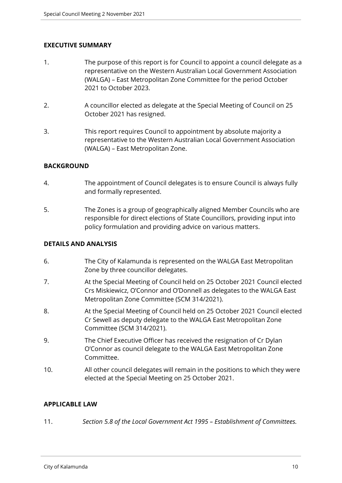# **EXECUTIVE SUMMARY**

- 1. The purpose of this report is for Council to appoint a council delegate as a representative on the Western Australian Local Government Association (WALGA) – East Metropolitan Zone Committee for the period October 2021 to October 2023.
- 2. A councillor elected as delegate at the Special Meeting of Council on 25 October 2021 has resigned.
- 3. This report requires Council to appointment by absolute majority a representative to the Western Australian Local Government Association (WALGA) – East Metropolitan Zone.

# **BACKGROUND**

- 4. The appointment of Council delegates is to ensure Council is always fully and formally represented.
- 5. The Zones is a group of geographically aligned Member Councils who are responsible for direct elections of State Councillors, providing input into policy formulation and providing advice on various matters.

# **DETAILS AND ANALYSIS**

- 6. The City of Kalamunda is represented on the WALGA East Metropolitan Zone by three councillor delegates.
- 7. At the Special Meeting of Council held on 25 October 2021 Council elected Crs Miskiewicz, O'Connor and O'Donnell as delegates to the WALGA East Metropolitan Zone Committee (SCM 314/2021).
- 8. At the Special Meeting of Council held on 25 October 2021 Council elected Cr Sewell as deputy delegate to the WALGA East Metropolitan Zone Committee (SCM 314/2021).
- 9. The Chief Executive Officer has received the resignation of Cr Dylan O'Connor as council delegate to the WALGA East Metropolitan Zone Committee.
- 10. All other council delegates will remain in the positions to which they were elected at the Special Meeting on 25 October 2021.

# **APPLICABLE LAW**

11. *Section 5.8 of the Local Government Act 1995 – Establishment of Committees.*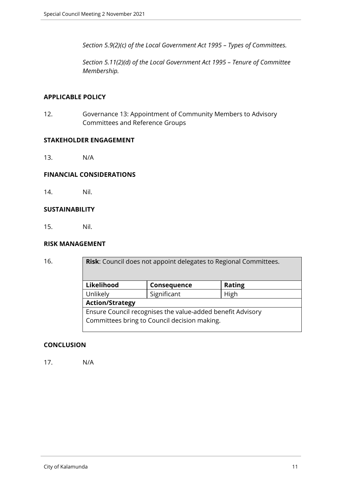*Section 5.9(2)(c) of the Local Government Act 1995 – Types of Committees.*

*Section 5.11(2)(d) of the Local Government Act 1995 – Tenure of Committee Membership.*

#### **APPLICABLE POLICY**

12. Governance 13: Appointment of Community Members to Advisory Committees and Reference Groups

#### **STAKEHOLDER ENGAGEMENT**

13. N/A

#### **FINANCIAL CONSIDERATIONS**

14. Nil.

#### **SUSTAINABILITY**

15. Nil.

#### **RISK MANAGEMENT**

| 16. | <b>Risk:</b> Council does not appoint delegates to Regional Committees. |             |               |  |
|-----|-------------------------------------------------------------------------|-------------|---------------|--|
|     | Likelihood                                                              | Consequence | <b>Rating</b> |  |
|     | Unlikely                                                                | Significant | High          |  |
|     | <b>Action/Strategy</b>                                                  |             |               |  |
|     | Ensure Council recognises the value-added benefit Advisory              |             |               |  |
|     | Committees bring to Council decision making.                            |             |               |  |

#### **CONCLUSION**

17. N/A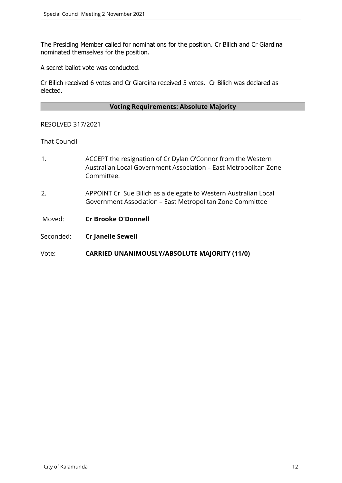The Presiding Member called for nominations for the position. Cr Bilich and Cr Giardina nominated themselves for the position.

A secret ballot vote was conducted.

Cr Bilich received 6 votes and Cr Giardina received 5 votes. Cr Bilich was declared as elected.

#### **Voting Requirements: Absolute Majority**

#### RESOLVED 317/2021

#### That Council

- 1. ACCEPT the resignation of Cr Dylan O'Connor from the Western Australian Local Government Association – East Metropolitan Zone Committee.
- 2. APPOINT Cr Sue Bilich as a delegate to Western Australian Local Government Association – East Metropolitan Zone Committee

Moved: **Cr Brooke O'Donnell**

Seconded: **Cr Janelle Sewell**

Vote: **CARRIED UNANIMOUSLY/ABSOLUTE MAJORITY (11/0)**